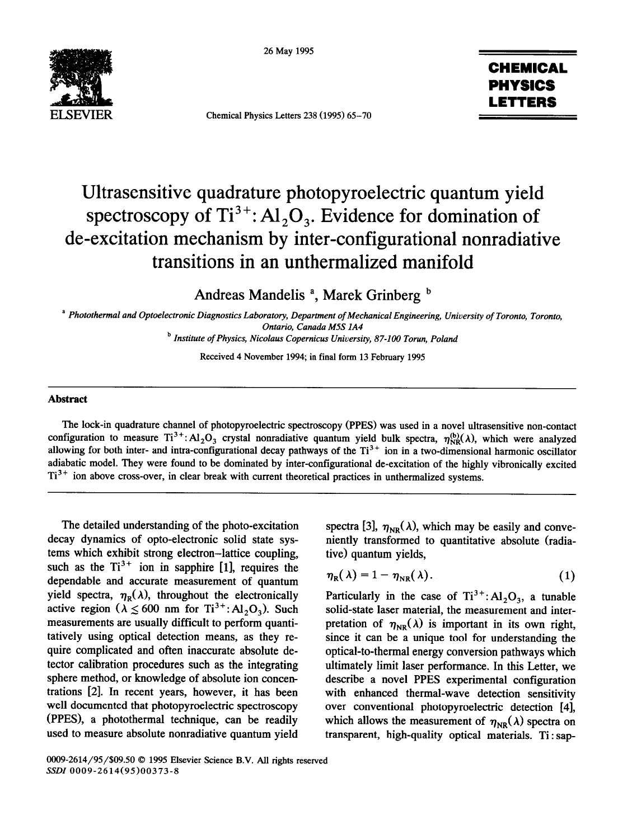26 May 1995



Chemical Physics Letters 238 (1995) 65-70

## CHEMICAL PHYSICS LETTERS

## Ultrasensitive quadrature photopyroelectric quantum yield spectroscopy of  $Ti^{3+}$ : Al<sub>2</sub>O<sub>3</sub>. Evidence for domination of de-excitation mechanism by inter-configurational nonradiative transitions in an unthermalized manifold

Andreas Mandelis <sup>a</sup>, Marek Grinberg <sup>b</sup>

<sup>a</sup> Photothermal and Optoelectronic Diagnostics Laboratory, Department of Mechanical Engineering, University of Toronto, Toronto, *Ontario, Canada M5S IA4* 

*b Institute of Physics, Nicolaus Copernicus University, 87-100 Torun, Poland* 

Received 4 November 1994; in final form 13 February 1995

## **Abstract**

The lock-in quadrature channel of photopyroelectric spectroscopy (PPES) was used in a novel ultrasensitive non-contact configuration to measure  $Ti^{3+}$ : Al<sub>2</sub>O<sub>3</sub> crystal nonradiative quantum yield bulk spectra,  $\eta_{NR}^{(b)}(\lambda)$ , which were analyzed allowing for both inter- and intra-configurational decay pathways of the  $Ti<sup>3+</sup>$  ion in a two-dimensional harmonic oscillator adiabatic model. They were found to be dominated by inter-configurational de-excitation of the highly vibronically excited  $Ti<sup>3+</sup>$  ion above cross-over, in clear break with current theoretical practices in unthermalized systems.

The detailed understanding of the photo-excitation decay dynamics of opto-electronic solid state systems which exhibit strong electron-lattice coupling, such as the  $Ti^{3+}$  ion in sapphire [1], requires the dependable and accurate measurement of quantum yield spectra,  $\eta_{R}(\lambda)$ , throughout the electronically active region ( $\lambda \le 600$  nm for Ti<sup>3+</sup>: Al<sub>2</sub>O<sub>3</sub>). Such measurements are usually difficult to perform quantitatively using optical detection means, as they require complicated and often inaccurate absolute detector calibration procedures such as the integrating sphere method, or knowledge of absolute ion concentrations [2]. In recent years, however, it has been well documented that photopyroelectric spectroscopy (PPES), a photothermal technique, can be readily used to measure absolute nonradiative quantum yield

spectra [3],  $\eta_{NR}(\lambda)$ , which may be easily and conveniently transformed to quantitative absolute (radiative) quantum yields,

$$
\eta_{R}(\lambda) = 1 - \eta_{NR}(\lambda). \qquad (1)
$$

Particularly in the case of  $Ti^{3+}$ : Al<sub>2</sub>O<sub>3</sub>, a tunable solid-state laser material, the measurement and interpretation of  $\eta_{NR}(\lambda)$  is important in its own right, since it can be a unique tool for understanding the optical-to-thermal energy conversion pathways which ultimately limit laser performance. In this Letter, we describe a novel PPES experimental configuration with enhanced thermal-wave detection sensitivity over conventional photopyroelectric detection [4], which allows the measurement of  $\eta_{NR}(\lambda)$  spectra on transparent, high-quality optical materials. Ti : sap-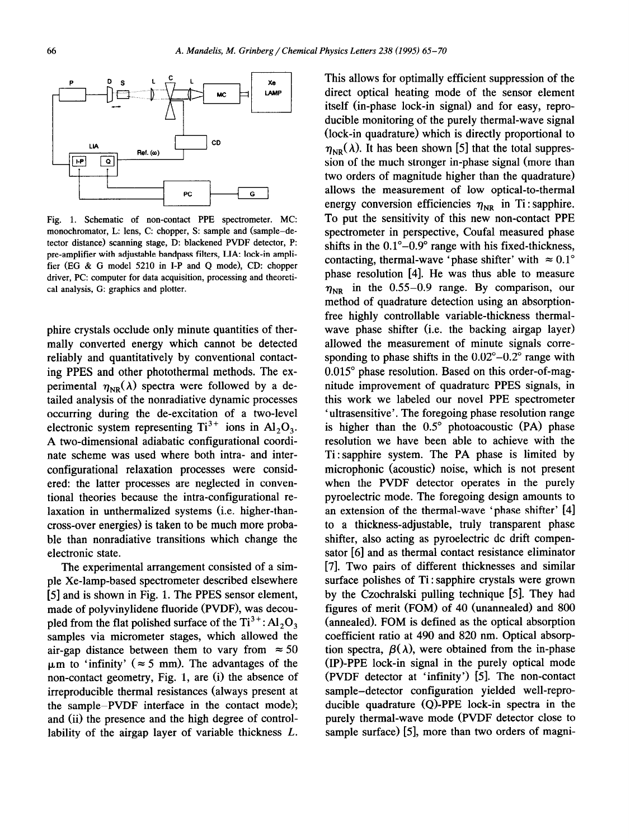

Fig. 1. Schematic of non-contact PPE spectrometer. MC: monochromator, L: lens, C: chopper, S: sample and (sample-detector distance) scanning stage, D: blackened PVDF detector, P: pre-amplifier with adjustable bandpass filters, LIA: lock-in amplifier (EG & G model 5210 in I-P and Q mode), CD: chopper driver, PC: computer for data acquisition, processing and theoretical analysis, G: graphics and plotter.

phire crystals occlude only minute quantities of thermally converted energy which cannot be detected reliably and quantitatively by conventional contacting PPES and other photothermal methods. The experimental  $\eta_{NR}(\lambda)$  spectra were followed by a detailed analysis of the nonradiative dynamic processes occurring during the de-excitation of a two-level electronic system representing  $Ti^{3+}$  ions in  $Al_2O_3$ . A two-dimensional adiabatic configurational coordinate scheme was used where both intra- and interconfigurational relaxation processes were considered: the latter processes are neglected in conventional theories because the intra-configurational relaxation in unthermalized systems (i.e. higher-thancross-over energies) is taken to be much more probable than nonradiative transitions which change the electronic state.

The experimental arrangement consisted of a simple Xe-lamp-based spectrometer described elsewhere [5] and is shown in Fig. 1. The PPES sensor element, made of polyvinylidene fluoride (PVDF), was decoupled from the flat polished surface of the  $Ti^{3+}$ : Al,  $O_3$ samples via micrometer stages, which allowed the air-gap distance between them to vary from  $\approx 50$  $\mu$ m to 'infinity' ( $\approx$  5 mm). The advantages of the non-contact geometry, Fig. 1, are (i) the absence of irreproducible thermal resistances (always present at the sample-PVDF interface in the contact mode); and (ii) the presence and the high degree of controllability of the airgap layer of variable thickness *L.* 

This allows for optimally efficient suppression of the direct optical heating mode of the sensor element itself (in-phase lock-in signal) and for easy, reproducible monitoring of the purely thermal-wave signal (lock-in quadrature) which is directly proportional to  $\eta_{NR}(\lambda)$ . It has been shown [5] that the total suppression of the much stronger in-phase signal (more than two orders of magnitude higher than the quadrature) allows the measurement of low optical-to-thermal energy conversion efficiencies  $\eta_{NR}$  in Ti : sapphire. To put the sensitivity of this new non-contact PPE spectrometer in perspective, Coufal measured phase shifts in the  $0.1^{\circ}-0.9^{\circ}$  range with his fixed-thickness. contacting, thermal-wave 'phase shifter' with  $\approx 0.1^{\circ}$ phase resolution [4]. He was thus able to measure  $\eta_{\text{NR}}$  in the 0.55-0.9 range. By comparison, our method of quadrature detection using an absorptionfree highly controllable variable-thickness thermalwave phase shifter (i.e. the backing airgap layer) allowed the measurement of minute signals corresponding to phase shifts in the  $0.02^{\circ} - 0.2^{\circ}$  range with 0.015" phase resolution. Based on this order-of-magnitude improvement of quadrature PPES signals, in this work we labeled our novel PPE spectrometer 'ultrasensitive'. The foregoing phase resolution range is higher than the  $0.5^{\circ}$  photoacoustic (PA) phase resolution we have been able to achieve with the Ti: sapphire system. The PA phase is limited by microphonic (acoustic) noise, which is not present when the PVDF detector operates in the purely pyroelectric mode. The foregoing design amounts to an extension of the thermal-wave 'phase shifter' [4] to a thickness-adjustable, truly transparent phase shifter, also acting as pyroelectric dc drift compensator [6] and as thermal contact resistance eliminator [7]. Two pairs of different thicknesses and similar surface polishes of Ti : sapphire crystals were grown by the Czochralski pulling technique [5]. They had figures of merit (FOM) of 40 (unannealed) and 800 (annealed). FOM is defined as the optical absorption coefficient ratio at 490 and 820 nm. Optical absorption spectra,  $\beta(\lambda)$ , were obtained from the in-phase (IP)-PPE lock-in signal in the purely optical mode (PVDF detector at 'infinity') [5]. The non-contact sample-detector configuration yielded well-reproducible quadrature (Q)-PPE lock-in spectra in the purely thermal-wave mode (PVDF detector close to sample surface) [5], more than two orders of magni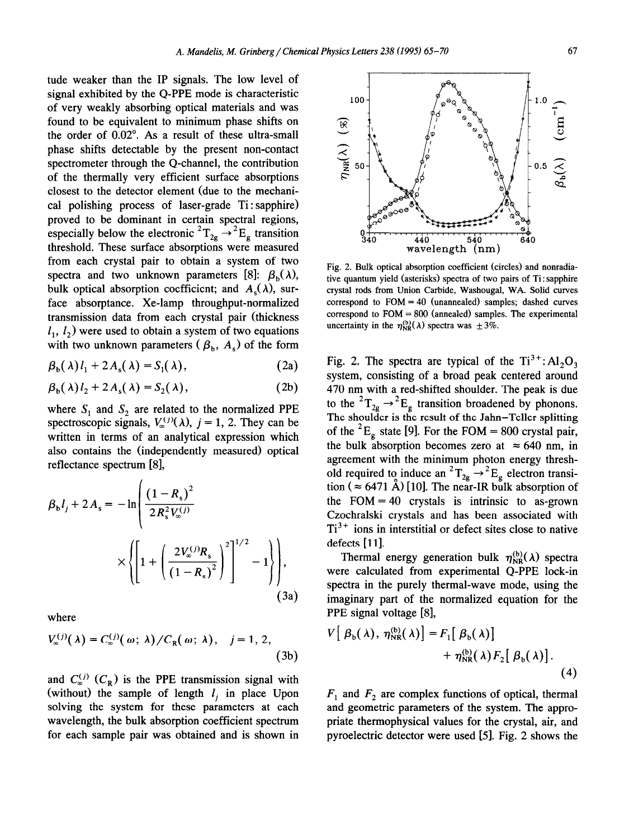tude weaker than the IP signals. The low level of signal exhibited by the Q-PPE mode is characteristic of very weakly absorbing optical materials and was found to be equivalent to minimum phase shifts on the order of 0.02". As a result of these ultra-small phase shifts detectable by the present non-contact spectrometer through the Q-channel, the contribution of the thermally very efficient surface absorptions closest to the detector element (due to the mechanical polishing process of laser-grade Ti : sapphire) proved to be dominant in certain spectral regions, especially below the electronic  ${}^{2}T_{2g} \rightarrow {}^{2}E_{g}$  transition threshold. These surface absorptions were measured from each crystal pair to obtain a system of two spectra and two unknown parameters [8]:  $\beta_h(\lambda)$ , bulk optical absorption coefficient; and  $A_s(\lambda)$ , surface absorptance. Xe-lamp throughput-normalized transmission data from each crystal pair (thickness  $l_1$ ,  $l_2$ ) were used to obtain a system of two equations with two unknown parameters  $(\beta_b, A_s)$  of the form

$$
\beta_{b}(\lambda) l_{1} + 2 A_{s}(\lambda) = S_{1}(\lambda), \qquad (2a)
$$

$$
\beta_{b}(\lambda) l_{2} + 2 A_{s}(\lambda) = S_{2}(\lambda), \qquad (2b)
$$

where  $S_1$  and  $S_2$  are related to the normalized PPE spectroscopic signals,  $V_{\infty}^{(j)}(\lambda)$ ,  $j = 1, 2$ . They can be written in terms of an analytical expression which also contains the (independently measured) optical reflectance spectrum [S],

$$
\beta_{\rm b}l_j + 2A_{\rm s} = -\ln\left(\frac{(1 - R_{\rm s})^2}{2R_{\rm s}^2V_{\rm s}^{(j)}}\right)
$$

$$
\times \left\{\left[1 + \left(\frac{2V_{\rm s}^{(j)}R_{\rm s}}{(1 - R_{\rm s})^2}\right)^2\right]^{1/2} - 1\right\}\right],\tag{3a}
$$

where

$$
V_{\infty}^{(j)}(\lambda) = C_{\infty}^{(j)}(\omega; \lambda) / C_{R}(\omega; \lambda), \quad j = 1, 2,
$$
\n(3b)

and  $C_{\infty}^{(j)}$  ( $C_{R}$ ) is the PPE transmission signal with (without) the sample of length  $l_i$  in place Upon solving the system for these parameters at each wavelength, the bulk absorption coefficient spectrum for each sample pair was obtained and is shown in



Fig. 2. Bulk optical absorption coefficient (circles) and nonradiative quantum yield (asterisks) spectra of two pairs of Ti : sapphire crystal rods from Union Carbide, Washougal, WA. Solid curves correspond to  $FOM = 40$  (unannealed) samples; dashed curves correspond to FOM = 800 (annealed) samples. The experimental uncertainty in the  $\eta_{NR}^{(b)}(\lambda)$  spectra was  $\pm 3\%$ .

Fig. 2. The spectra are typical of the  $Ti^{3+}$ :  $Al_2O_3$ system, consisting of a broad peak centered around 470 nm with a red-shifted shoulder. The peak is due to the  $T_{2g} \rightarrow E_g$  transition broadened by phonons. The shoulder is the result of the Jahn-Teller splitting of the <sup>2</sup>E<sub>g</sub> state [9]. For the FOM = 800 crystal pair, the bulk absorption becomes zero at  $\approx 640$  nm, in agreement with the minimum photon energy threshold required to induce an  ${}^{2}T_{2g} \rightarrow {}^{2}E_{g}$  electron transition ( $\approx 6471$  A) [10]. The near-IR bulk absorption of the  $FOM = 40$  crystals is intrinsic to as-grown Czochralski crystals and has been associated with  $Ti<sup>3+</sup>$  ions in interstitial or defect sites close to native defects [11].

Thermal energy generation bulk  $\eta_{NR}^{(b)}(\lambda)$  spectra were calculated from experimental Q-PPE lock-in spectra in the purely thermal-wave mode, using the imaginary part of the normalized equation for the PPE signal voltage [8],

$$
V\left[\beta_{b}(\lambda), \eta_{NR}^{(b)}(\lambda)\right] = F_{1}\left[\beta_{b}(\lambda)\right] + \eta_{NR}^{(b)}(\lambda)F_{2}\left[\beta_{b}(\lambda)\right].
$$
\n(4)

 $F_1$  and  $F_2$  are complex functions of optical, thermal and geometric parameters of the system. The appropriate thermophysical values for the crystal, air, and pyroelectric detector were used [5]. Fig. 2 shows the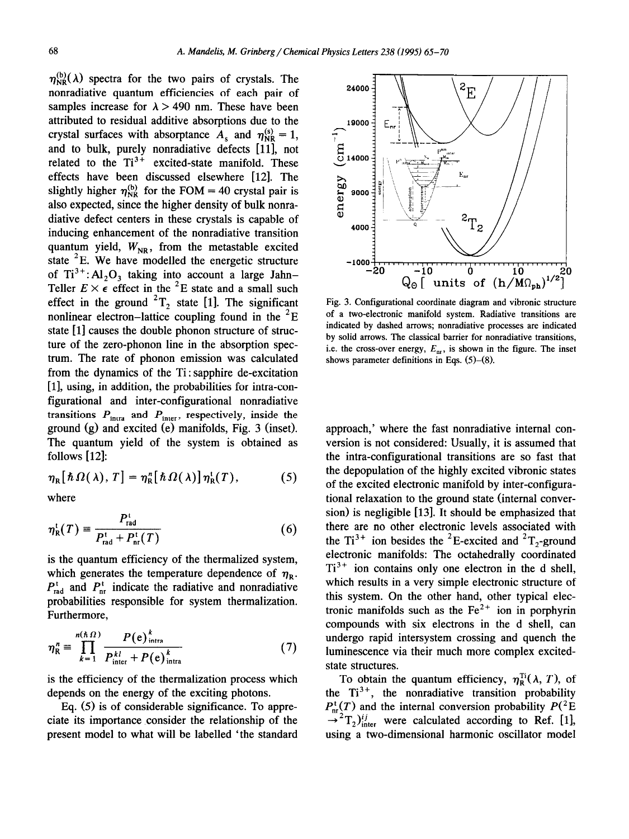$\eta_{NR}^{(b)}(\lambda)$  spectra for the two pairs of crystals. The nonradiative quantum efficiencies of each pair of samples increase for  $\lambda > 490$  nm. These have been attributed to residual additive absorptions due to the crystal surfaces with absorptance  $A_s$  and  $\eta_{\text{NR}}^{s} = 1$ , and to bulk, purely nonradiative defects [ll], not related to the  $Ti^{3+}$  excited-state manifold. These effects have been discussed elsewhere [12]. The slightly higher  $\eta_{NR}^{(b)}$  for the FOM = 40 crystal pair is also expected, since the higher density of bulk nonradiative defect centers in these crystals is capable of inducing enhancement of the nonradiative transition quantum yield,  $W_{NR}$ , from the metastable excited state <sup>2</sup>E. We have modelled the energetic structure of  $Ti^{3+}$ : Al<sub>2</sub>O<sub>3</sub> taking into account a large Jahn-Teller  $E \times \epsilon$  effect in the  $\epsilon$  is state and a small such effect in the ground  $T_2$  state [1]. The significant nonlinear electron-lattice coupling found in the  ${}^{2}E$ state [1] causes the double phonon structure of structure of the zero-phonon line in the absorption spectrum. The rate of phonon emission was calculated from the dynamics of the Ti : sapphire de-excitation [l], using, in addition, the probabilities for intra-configurational and inter-configurational nonradiative transitions  $P_{\text{intra}}$  and  $P_{\text{inter}}$ , respectively, inside the ground (g) and excited (e) manifolds, Fig. 3 (inset). The quantum yield of the system is obtained as follows  $[12]$ :

$$
\eta_{\rm R}[\hbar\,\Omega(\,\lambda)\,,\,T]=\eta_{\rm R}^n[\hbar\,\Omega(\,\lambda)]\,\eta_{\rm R}^{\rm t}(T),\qquad \qquad (5)
$$

where

$$
\eta_{\rm R}^{\rm t}(T) = \frac{P_{\rm rad}^{\rm t}}{P_{\rm rad}^{\rm t} + P_{\rm nr}^{\rm t}(T)}\tag{6}
$$

is the quantum efficiency of the thermalized system, which generates the temperature dependence of  $\eta_R$ .  $P_{\text{rad}}^{\text{t}}$  and  $P_{\text{nr}}^{\text{t}}$  indicate the radiative and nonradiative probabilities responsible for system thermalization. Furthermore,

$$
\eta_{\rm R}^{n} \equiv \prod_{k=1}^{n(\hbar \Omega)} \frac{P(\mathbf{e})_{\text{intra}}^{k}}{P_{\text{inter}}^{kl} + P(\mathbf{e})_{\text{intra}}^{k}} \tag{7}
$$

is the efficiency of the thermalization process which depends on the energy of the exciting photons.

Eq. (5) is of considerable significance. To appreciate its importance consider the relationship of the present model to what will be labelled 'the standard



Fig. 3. Configurational coordinate diagram and vibronic structure of a two-electronic manifold system. Radiative transitions are indicated by dashed arrows; nonradiative processes are indicated by solid arrows. The classical barrier for nonradiative transitions, i.e. the cross-over energy,  $E_{\text{nr}}$ , is shown in the figure. The inset shows parameter definitions in Eqs.  $(5)-(8)$ .

approach,' where the fast nonradiative internal conversion is not considered: Usually, it is assumed that the intra-configurational transitions are so fast that the depopulation of the highly excited vibronic states of the excited electronic manifold by inter-configurational relaxation to the ground state (internal conversion) is negligible [13]. It should be emphasized that there are no other electronic levels associated with the Ti<sup>3+</sup> ion besides the <sup>2</sup>E-excited and <sup>2</sup>T<sub>2</sub>-ground electronic manifolds: The octahedrally coordinated  $Ti<sup>3+</sup>$  ion contains only one electron in the d shell, which results in a very simple electronic structure of this system. On the other hand, other typical electronic manifolds such as the  $Fe<sup>2+</sup>$  ion in porphyrin compounds with six electrons in the d shell, can undergo rapid intersystem crossing and quench the luminescence via their much more complex excitedstate structures.

To obtain the quantum efficiency,  $\eta_{\rm R}^{\rm Ti}(\lambda, T)$ , of the  $Ti^{3+}$ , the nonradiative transition probability  $P_{nr}^{t}(T)$  and the internal conversion probability  $P({}^{2}E)$  $\rightarrow$ <sup>2</sup>T<sub>2</sub>)<sup>*ij*</sup><sub>inter</sub> were calculated according to Ref. [1], using a two-dimensional harmonic oscillator model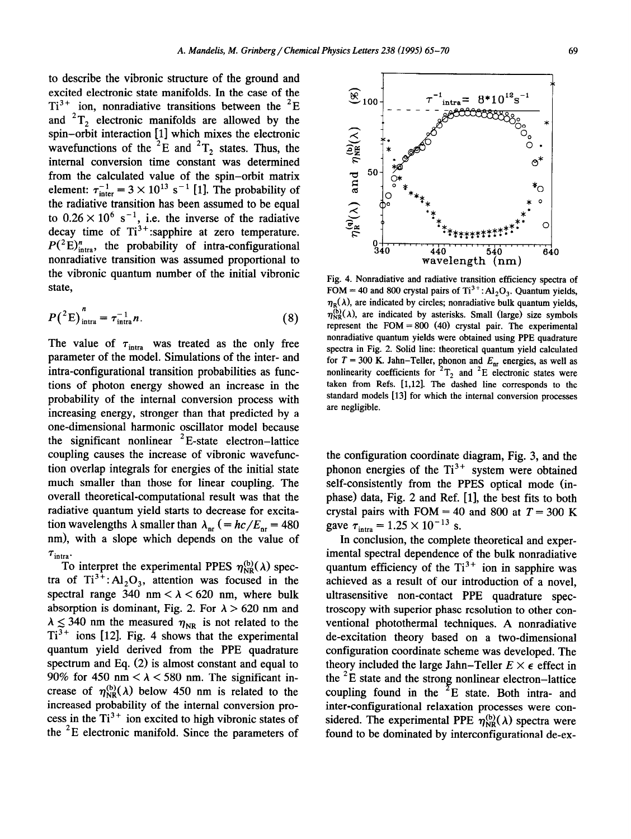to describe the vibronic structure of the ground and excited electronic state manifolds. In the case of the  $Ti^{3+}$  ion, nonradiative transitions between the <sup>2</sup>E and  ${}^{2}T_{2}$  electronic manifolds are allowed by the spin-orbit interaction [l] which mixes the electronic wavefunctions of the  ${}^{2}E$  and  ${}^{2}T_{2}$  states. Thus, the internal conversion time constant was determined from the calculated value of the spin-orbit matrix element:  $\tau_{\text{inter}}^{-1} = 3 \times 10^{13} \text{ s}^{-1}$  [1]. The probability of the radiative transition has been assumed to be equal to  $0.26 \times 10^6$  s<sup>-1</sup>, i.e. the inverse of the radiative decay time of  $Ti^{3+}$ : sapphire at zero temperature.  $P({}^2E)^n_{intra}$ , the probability of intra-configurational nonradiative transition was assumed proportional to the vibronic quantum number of the initial vibronic state,

$$
P(^{2}E)^{n}_{intra} = \tau^{-1}_{intra} n.
$$
 (8)

The value of  $\tau_{\text{intra}}$  was treated as the only free parameter of the model. Simulations of the inter- and intra-configurational transition probabilities as functions of photon energy showed an increase in the probability of the internal conversion process with increasing energy, stronger than that predicted by a one-dimensional harmonic oscillator model because the significant nonlinear  ${}^{2}E$ -state electron-lattice coupling causes the increase of vibronic wavefunction overlap integrals for energies of the initial state much smaller than those for linear coupling. The overall theoretical-computational result was that the radiative quantum yield starts to decrease for excitation wavelengths  $\lambda$  smaller than  $\lambda_{nr}$  (=  $\frac{hc}{E_{nr}}$  = 480 nm), with a slope which depends on the value of  $\tau$ <sub>intra</sub>.

To interpret the experimental PPES  $\eta_{NR}^{(b)}(\lambda)$  spectra of  $Ti^{3+}$ :  $Al_2O_3$ , attention was focused in the spectral range 340 nm  $< \lambda < 620$  nm, where bulk absorption is dominant, Fig. 2. For  $\lambda > 620$  nm and  $\lambda \leq 340$  nm the measured  $\eta_{NR}$  is not related to the  $Ti^{3+}$  ions [12]. Fig. 4 shows that the experimental quantum yield derived from the PPE quadrature spectrum and Eq. (2) is almost constant and equal to 90% for 450 nm  $< \lambda <$  580 nm. The significant increase of  $\eta_{NR}^{(b)}(\lambda)$  below 450 nm is related to the increased probability of the internal conversion process in the  $Ti<sup>3+</sup>$  ion excited to high vibronic states of the  ${}^{2}E$  electronic manifold. Since the parameters of

Fig. 4. Nonradiative and radiative transition efficiency spectra of FOM = 40 and 800 crystal pairs of  $Ti^{3+}$ : Al<sub>2</sub>O<sub>3</sub>. Quantum yields,  $\eta_{\rm p}(\lambda)$ , are indicated by circles; nonradiative bulk quantum vields,  $\eta_{\text{NR}}^{(b)}(\lambda)$ , are indicated by asterisks. Small (large) size symbols represent the  $FOM = 800$  (40) crystal pair. The experimental nonradiative quantum yields were obtained using PPE quadrature spectra in Fig. 2. Solid line: theoretical quantum yield calculated for  $T = 300$  K. Jahn-Teller, phonon and  $E_{nr}$  energies, as well as nonlinearity coefficients for  ${}^{2}T_{2}$  and  ${}^{2}E$  electronic states were taken from Refs. [1,12]. The dashed line corresponds to the standard models [13] for which the internal conversion processes are negligible.

the configuration coordinate diagram, Fig. 3, and the phonon energies of the  $Ti^{3+}$  system were obtained self-consistently from the PPES optical mode (inphase) data, Fig. 2 and Ref. [ll, the best fits to both crystal pairs with FOM = 40 and 800 at  $T = 300$  K gave  $\tau_{\text{intra}} = 1.25 \times 10^{-13}$  s.

In conclusion, the complete theoretical and experimental spectral dependence of the bulk nonradiative quantum efficiency of the  $Ti^{3+}$  ion in sapphire was achieved as a result of our introduction of a novel, ultrasensitive non-contact PPE quadrature spectroscopy with superior phase resolution to other conventional photothermal techniques. A nonradiative de-excitation theory based on a two-dimensional configuration coordinate scheme was developed. The theory included the large Jahn-Teller  $E \times \epsilon$  effect in the  ${}^{2}E$  state and the strong nonlinear electron-lattice coupling found in the  $E^2$ E state. Both intra- and inter-configurational relaxation processes were considered. The experimental PPE  $\eta_{NR}^{(b)}(\lambda)$  spectra were found to be dominated by interconfigurational de-ex-